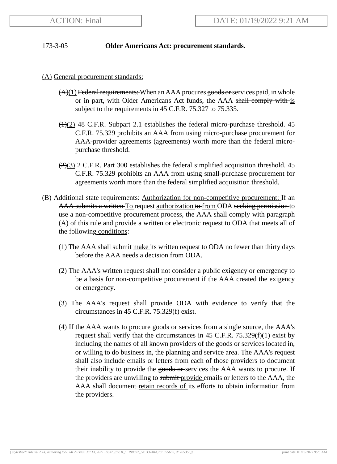## 173-3-05 **Older Americans Act: procurement standards.**

## (A) General procurement standards:

- $(A)(1)$  Federal requirements: When an AAA procures goods or services paid, in whole or in part, with Older Americans Act funds, the AAA shall comply with is subject to the requirements in 45 C.F.R. 75.327 to 75.335.
- $(1)(2)$  48 C.F.R. Subpart 2.1 establishes the federal micro-purchase threshold. 45 C.F.R. 75.329 prohibits an AAA from using micro-purchase procurement for AAA-provider agreements (agreements) worth more than the federal micropurchase threshold.
- $\left(\frac{2}{3}\right)$  2 C.F.R. Part 300 establishes the federal simplified acquisition threshold. 45 C.F.R. 75.329 prohibits an AAA from using small-purchase procurement for agreements worth more than the federal simplified acquisition threshold.
- (B) Additional state requirements: Authorization for non-competitive procurement:  $\hat{H}$  and AAA submits a written To request authorization to from ODA seeking permission to use a non-competitive procurement process, the AAA shall comply with paragraph (A) of this rule and provide a written or electronic request to ODA that meets all of the following conditions:
	- (1) The AAA shall submit make its written request to ODA no fewer than thirty days before the AAA needs a decision from ODA.
	- (2) The AAA's written request shall not consider a public exigency or emergency to be a basis for non-competitive procurement if the AAA created the exigency or emergency.
	- (3) The AAA's request shall provide ODA with evidence to verify that the circumstances in 45 C.F.R. 75.329(f) exist.
	- (4) If the AAA wants to procure goods or services from a single source, the AAA's request shall verify that the circumstances in 45 C.F.R.  $75.329(f)(1)$  exist by including the names of all known providers of the goods or services located in, or willing to do business in, the planning and service area. The AAA's request shall also include emails or letters from each of those providers to document their inability to provide the goods or services the AAA wants to procure. If the providers are unwilling to submit-provide emails or letters to the AAA, the AAA shall document retain records of its efforts to obtain information from the providers.